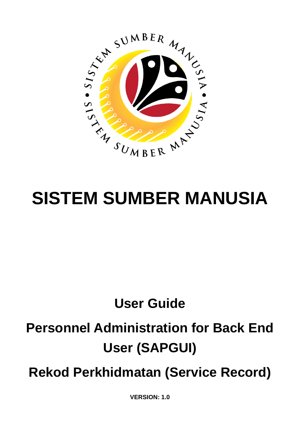

# **SISTEM SUMBER MANUSIA**

## **User Guide**

## **Personnel Administration for Back End User (SAPGUI)**

**Rekod Perkhidmatan (Service Record)**

**VERSION: 1.0**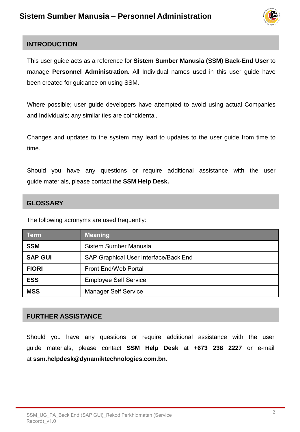

#### <span id="page-1-0"></span>**INTRODUCTION**

This user guide acts as a reference for **Sistem Sumber Manusia (SSM) Back-End User** to manage **Personnel Administration.** All Individual names used in this user guide have been created for guidance on using SSM.

Where possible; user guide developers have attempted to avoid using actual Companies and Individuals; any similarities are coincidental.

Changes and updates to the system may lead to updates to the user guide from time to time.

Should you have any questions or require additional assistance with the user guide materials, please contact the **SSM Help Desk.**

#### **GLOSSARY**

The following acronyms are used frequently:

| <b>Term</b>    | <b>Meaning</b>                        |  |
|----------------|---------------------------------------|--|
| <b>SSM</b>     | Sistem Sumber Manusia                 |  |
| <b>SAP GUI</b> | SAP Graphical User Interface/Back End |  |
| <b>FIORI</b>   | <b>Front End/Web Portal</b>           |  |
| <b>ESS</b>     | <b>Employee Self Service</b>          |  |
| <b>MSS</b>     | <b>Manager Self Service</b>           |  |

#### **FURTHER ASSISTANCE**

Should you have any questions or require additional assistance with the user guide materials, please contact **SSM Help Desk** at **+673 238 2227** or e-mail at **ssm.helpdesk@dynamiktechnologies.com.bn**.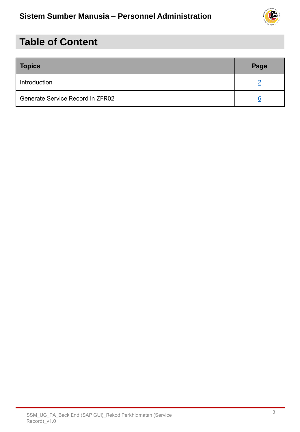## 0

## **Table of Content**

| <b>Topics</b>                    | Page |
|----------------------------------|------|
| Introduction                     |      |
| Generate Service Record in ZFR02 |      |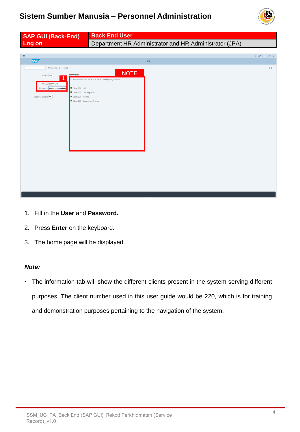

| <b>SAP GUI (Back-End)</b>                                                  | <b>Back End User</b>                                   |      |
|----------------------------------------------------------------------------|--------------------------------------------------------|------|
| Log on                                                                     | Department HR Administrator and HR Administrator (JPA) |      |
|                                                                            |                                                        |      |
| $\equiv$                                                                   |                                                        |      |
| <b>SAP</b>                                                                 | SAP                                                    |      |
| $\vee$ New password More $\vee$                                            | <b>NOTE</b>                                            | Exit |
| Information<br>Client: 220                                                 |                                                        |      |
| * User: 00000139                                                           | II Welcome to SAP S/4 HANA 1909 - SSM Quality System   |      |
| *Password:   ****************<br>Client 200 : UAT                          |                                                        |      |
| Client 210 : Data Migration<br>Logon Language: EN<br>Client 220 : Training |                                                        |      |
| Client 230 : Department Training                                           |                                                        |      |
|                                                                            |                                                        |      |
|                                                                            |                                                        |      |
|                                                                            |                                                        |      |
|                                                                            |                                                        |      |
|                                                                            |                                                        |      |
|                                                                            |                                                        |      |
|                                                                            |                                                        |      |
|                                                                            |                                                        |      |
|                                                                            |                                                        |      |
|                                                                            |                                                        |      |
|                                                                            |                                                        |      |
|                                                                            |                                                        |      |
|                                                                            |                                                        |      |
|                                                                            |                                                        |      |
|                                                                            |                                                        |      |

- 1. Fill in the **User** and **Password.**
- 2. Press **Enter** on the keyboard.
- 3. The home page will be displayed.

#### *Note:*

• The information tab will show the different clients present in the system serving different purposes. The client number used in this user guide would be 220, which is for training and demonstration purposes pertaining to the navigation of the system.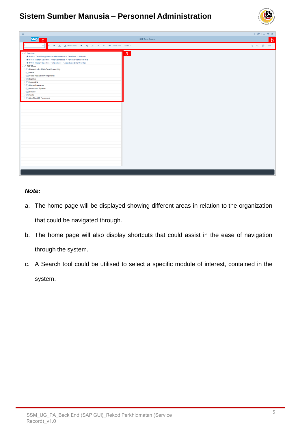

#### *Note:*

- a. The home page will be displayed showing different areas in relation to the organization that could be navigated through.
- b. The home page will also display shortcuts that could assist in the ease of navigation through the system.
- c. A Search tool could be utilised to select a specific module of interest, contained in the system.

 $\mathcal{V}$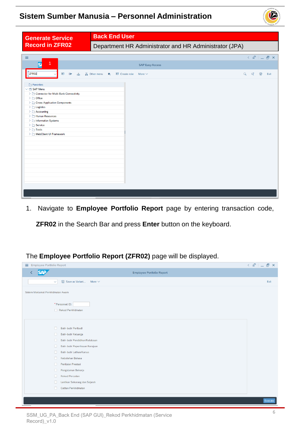

<span id="page-5-0"></span>

| <b>Generate Service</b>                                                                                                                                                                                                                                                                                            | <b>Back End User</b>                                                                                                                                                                                                                                                                                                                                                                                                                                                                        |      |
|--------------------------------------------------------------------------------------------------------------------------------------------------------------------------------------------------------------------------------------------------------------------------------------------------------------------|---------------------------------------------------------------------------------------------------------------------------------------------------------------------------------------------------------------------------------------------------------------------------------------------------------------------------------------------------------------------------------------------------------------------------------------------------------------------------------------------|------|
| <b>Record in ZFR02</b>                                                                                                                                                                                                                                                                                             | Department HR Administrator and HR Administrator (JPA)                                                                                                                                                                                                                                                                                                                                                                                                                                      |      |
| $\equiv$                                                                                                                                                                                                                                                                                                           | $\langle \quad \mathbf{F} \quad   \quad \mathbf{F} \quad \mathbf{F} \quad \mathbf{F} \quad \mathbf{F} \quad \mathbf{F} \quad \mathbf{F} \quad \mathbf{F} \quad \mathbf{F} \quad \mathbf{F} \quad \mathbf{F} \quad \mathbf{F} \quad \mathbf{F} \quad \mathbf{F} \quad \mathbf{F} \quad \mathbf{F} \quad \mathbf{F} \quad \mathbf{F} \quad \mathbf{F} \quad \mathbf{F} \quad \mathbf{F} \quad \mathbf{F} \quad \mathbf{F} \quad \mathbf{F} \quad \mathbf{F} \quad \mathbf{F} \quad \mathbf{F$ |      |
| 1<br>Q                                                                                                                                                                                                                                                                                                             | <b>SAP Easy Access</b>                                                                                                                                                                                                                                                                                                                                                                                                                                                                      |      |
| ZFR <sub>02</sub><br>国<br><b>D</b><br>啬                                                                                                                                                                                                                                                                            | Q d 骨<br>& Other menu<br>Create role<br>More $\sim$<br>大                                                                                                                                                                                                                                                                                                                                                                                                                                    | Exit |
| Favorites<br>$\vee$ $\Box$ SAP Menu<br>> Connector for Multi-Bank Connectivity<br>$\geq$ $\Box$ Office<br>> Cross-Application Components<br>$\geq$ $\Box$ Logistics<br>$\geq$ $\Box$ Accounting<br>Human Resources<br>> Information Systems<br>$\sum$ Service<br>$\geq$ $\Box$ Tools<br>> [ WebClient UI Framework |                                                                                                                                                                                                                                                                                                                                                                                                                                                                                             |      |

1. Navigate to **Employee Portfolio Report** page by entering transaction code,

**ZFR02** in the Search Bar and press **Enter** button on the keyboard.

| $\equiv$ Employee Portfolio Report                    | $\left\langle \begin{array}{c} \circ \\ \circ \\ \circ \end{array} \right\rangle$ $\left\langle \begin{array}{c} \circ \\ \circ \\ \circ \end{array} \right\rangle$ |
|-------------------------------------------------------|---------------------------------------------------------------------------------------------------------------------------------------------------------------------|
| <b>SAP</b><br>Employee Portfolio Report               |                                                                                                                                                                     |
| $\boxdot$ Save as Variant More $\vee$<br>$\checkmark$ | Exit                                                                                                                                                                |
| Sistem Maklumat Perkhidmatan Awam                     |                                                                                                                                                                     |
| * Personnel ID:<br>Rekod Perkhidmatan                 |                                                                                                                                                                     |
| $\Box$<br>Butir-butir Peribadi                        |                                                                                                                                                                     |
| Butir-butir Keluarga<br>$\Box$                        |                                                                                                                                                                     |
| Butir-butir Pendidikan/Kelulusan<br>$\Box$            |                                                                                                                                                                     |
| Butir-butir Peperiksaan Kerajaan<br>$\Box$            |                                                                                                                                                                     |
| Butir-butir Latihan/Kursus<br>$\Box$                  |                                                                                                                                                                     |
| Kebolehan Bahasa<br>$\Box$                            |                                                                                                                                                                     |
| Penilaian Prestasi<br>O.                              |                                                                                                                                                                     |
| $\Box$<br>Pengalaman Bekerja                          |                                                                                                                                                                     |
| <b>Rekod Percutian</b><br>n.                          |                                                                                                                                                                     |
| Lantikan Sekarang dan Sejarah<br>$\Box$               |                                                                                                                                                                     |
| Catitan Perkhidmatan<br>n                             |                                                                                                                                                                     |
|                                                       |                                                                                                                                                                     |
|                                                       | Execute                                                                                                                                                             |
|                                                       |                                                                                                                                                                     |

The **Employee Portfolio Report (ZFR02)** page will be displayed.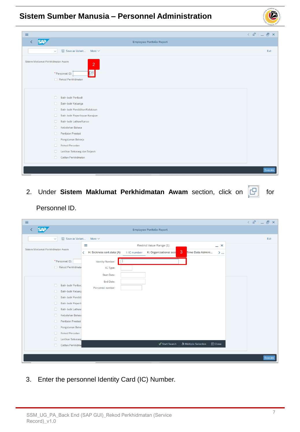

| $\equiv$                                                                                                         |         |
|------------------------------------------------------------------------------------------------------------------|---------|
| <b>SAP</b><br>Employee Portfolio Report                                                                          |         |
| $\Box$ Save as Variant More $\vee$<br>$\checkmark$                                                               | Exit    |
| Sistem Maklumat Perkhidmatan Awam<br>$\overline{2}$<br>e<br>* Personnel ID:<br>Rekod Perkhidmatan                |         |
| $\Box$<br>Butir-butir Peribadi<br>$\Box$<br>Butir-butir Keluarga<br>$\Box$<br>Butir-butir Pendidikan/Kelulusan   |         |
| $\Box$<br>Butir-butir Peperiksaan Kerajaan<br>$\Box$<br>Butir-butir Latihan/Kursus<br>Kebolehan Bahasa<br>$\Box$ |         |
| $\Box$<br>Penilaian Prestasi<br>Pengalaman Bekerja<br>$\Box$                                                     |         |
| $\Box$<br><b>Rekod Percutian</b><br>Lantikan Sekarang dan Sejarah<br>$\Box$                                      |         |
| Catitan Perkhidmatan<br>$\Box$                                                                                   | Execute |

2. Under Sistem Maklumat Perkhidmatan Awam section, click on  $\boxed{C}$  for

Personnel ID.

| $\equiv$                                                                                                                                                                                                                                                                                                        |                                             |                                                                 | $\langle$ a <sup>o</sup> $ $ $ $ $ $ $ $ $ $ $ $ $\rightarrow$ $ $ |
|-----------------------------------------------------------------------------------------------------------------------------------------------------------------------------------------------------------------------------------------------------------------------------------------------------------------|---------------------------------------------|-----------------------------------------------------------------|--------------------------------------------------------------------|
| <b>SAP</b>                                                                                                                                                                                                                                                                                                      | <b>Employee Portfolio Report</b>            |                                                                 |                                                                    |
| $\boxplus$<br>Save as Variant<br>$\checkmark$                                                                                                                                                                                                                                                                   | More $\vee$                                 |                                                                 | Exit                                                               |
|                                                                                                                                                                                                                                                                                                                 | Ξ<br><b>Restrict Value Range (1)</b>        | $- x$                                                           |                                                                    |
| Sistem Maklumat Perkhidmatan Awam                                                                                                                                                                                                                                                                               | < H: Sickness cert.data (A)<br>I: IC number | 3<br>K: Organizational assi<br>Time Data Admini<br>$>$ $\sim$   |                                                                    |
| * Personnel ID:                                                                                                                                                                                                                                                                                                 | <b>Identity Number:</b>                     |                                                                 |                                                                    |
| Rekod Perkhidmata                                                                                                                                                                                                                                                                                               | IC Type:                                    |                                                                 |                                                                    |
|                                                                                                                                                                                                                                                                                                                 | <b>Start Date:</b>                          |                                                                 |                                                                    |
| п<br><b>Butir-butir Peribac</b><br><b>Butir-butir Keluarg</b><br>n<br><b>Butir-butir Pendidi</b><br>n<br><b>Butir-butir Peperik</b><br>n<br>Butir-butir Latihan/<br>п<br>Kebolehan Bahasa<br>$\Box$<br>Penilaian Prestasi<br>п<br>Pengalaman Beke<br>п<br><b>Rekod Percutian</b><br>n<br>Lantikan Sekarang<br>n | End Date:<br>Personnel number:              |                                                                 |                                                                    |
| Catitan Perkhidma<br>n.                                                                                                                                                                                                                                                                                         |                                             | ♣ Multiple Selection<br><b>√ Start Search</b><br><b>X</b> Close |                                                                    |
|                                                                                                                                                                                                                                                                                                                 |                                             |                                                                 |                                                                    |
|                                                                                                                                                                                                                                                                                                                 |                                             |                                                                 | Execute                                                            |

3. Enter the personnel Identity Card (IC) Number.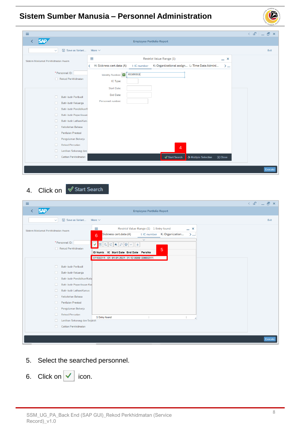

| $\equiv$                                                                                                                                                                                                                                                                               |                                                                                                                | $\langle \begin{array}{c c} \mathbb{S}^1 & \mathbb{S}^1 \end{array} \rangle = \begin{array}{c c} \mathbb{S}^1 & \mathbb{S}^1 \end{array}$ |
|----------------------------------------------------------------------------------------------------------------------------------------------------------------------------------------------------------------------------------------------------------------------------------------|----------------------------------------------------------------------------------------------------------------|-------------------------------------------------------------------------------------------------------------------------------------------|
| <b>SAP</b>                                                                                                                                                                                                                                                                             | <b>Employee Portfolio Report</b>                                                                               |                                                                                                                                           |
| <b>图</b> Save as Variant<br>$\checkmark$                                                                                                                                                                                                                                               | More $\vee$                                                                                                    | Exit                                                                                                                                      |
| Sistem Maklumat Perkhidmatan Awam                                                                                                                                                                                                                                                      | Ξ<br><b>Restrict Value Range (1)</b><br>$- x$                                                                  |                                                                                                                                           |
|                                                                                                                                                                                                                                                                                        | K: Organizational assign L: Time Data Admini<br>H: Sickness cert.data (A)<br>I: IC number<br>≺<br>$>$ $\infty$ |                                                                                                                                           |
| * Personnel ID:<br>Rekod Perkhidmatan<br>$\Box$<br>Butir-butir Peribadi                                                                                                                                                                                                                | 01100311<br>Identity Number:<br>IC Type:<br><b>Start Date:</b><br>End Date:                                    |                                                                                                                                           |
| Butir-butir Keluarga<br>$\Box$<br>Butir-butir Pendidikan/I<br>п<br>$\Box$<br>Butir-butir Peperiksaan<br>Butir-butir Latihan/Kurs<br>п<br>Kebolehan Bahasa<br>$\Box$<br>Penilaian Prestasi<br>п<br>Pengalaman Bekerja<br>п<br><b>Rekod Percutian</b><br>п<br>Lantikan Sekarang dan<br>п | Personnel number:<br>$\overline{4}$                                                                            |                                                                                                                                           |
| Catitan Perkhidmatan<br>П.                                                                                                                                                                                                                                                             | <b>√</b> Start Search<br>↑ Multiple Selection<br><b>X</b> Close                                                |                                                                                                                                           |
|                                                                                                                                                                                                                                                                                        |                                                                                                                | Execute                                                                                                                                   |

4. Click on  $\sqrt{ }$  Start Search

| Ξ                                                                                                                                                                                                                                                                                                                                                                                                                                                                                           |                                                                                                                                                                                                                   | $\langle$ $\oplus$ $ $ $\oplus$ $\oplus$ $\times$ $ $ |
|---------------------------------------------------------------------------------------------------------------------------------------------------------------------------------------------------------------------------------------------------------------------------------------------------------------------------------------------------------------------------------------------------------------------------------------------------------------------------------------------|-------------------------------------------------------------------------------------------------------------------------------------------------------------------------------------------------------------------|-------------------------------------------------------|
| <b>SAP</b><br>≺                                                                                                                                                                                                                                                                                                                                                                                                                                                                             | <b>Employee Portfolio Report</b>                                                                                                                                                                                  |                                                       |
| <b>图 Save as Variant</b><br>More $\vee$<br>$\checkmark$                                                                                                                                                                                                                                                                                                                                                                                                                                     |                                                                                                                                                                                                                   | Exit                                                  |
| Ξ<br>Sistem Maklumat Perkhidmatan Awam<br>Sickness cert.data (A)<br>6<br>* Personnel ID:<br>✓∣<br>Rekod Perkhidmatan<br>Butir-butir Peribadi<br>n<br>Butir-butir Keluarga<br>n<br>Butir-butir Pendidikan/Kelu<br>n<br>Butir-butir Peperiksaan Kel<br>п<br>Butir-butir Latihan/Kursus<br>п<br>Kebolehan Bahasa<br>п<br>Penilaian Prestasi<br>п<br>Pengalaman Bekerja<br>□<br><b>Rekod Percutian</b><br>п<br>1 Entry found<br>Lantikan Sekarang dan Sejarah<br>n<br>Catitan Perkhidmatan<br>n | Restrict Value Range (1) 1 Entry found<br>$- x$<br>K: Organization<br>I: IC number<br>$>$ $\sim$<br>$\overline{\vee}$<br>5<br>ID Numb IC Start Date End Date PersNo<br>01100311 01 01:01:2021 31:12.9999 00000311 |                                                       |
|                                                                                                                                                                                                                                                                                                                                                                                                                                                                                             |                                                                                                                                                                                                                   | Execute                                               |
|                                                                                                                                                                                                                                                                                                                                                                                                                                                                                             |                                                                                                                                                                                                                   |                                                       |

- 5. Select the searched personnel.
- 6. Click on  $\vee$  icon.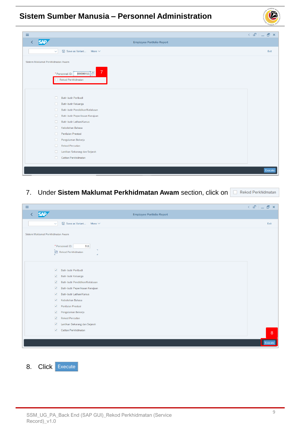

| Ξ                                 |                                                                             | $\langle$ a <sup>o</sup> $ $ $ $ $ $ $ $ $ $ $ $ $\infty$ |
|-----------------------------------|-----------------------------------------------------------------------------|-----------------------------------------------------------|
| <b>SAP</b><br>◟                   | <b>Employee Portfolio Report</b>                                            |                                                           |
| $\checkmark$                      | <b>B</b> Save as Variant<br>More $\sim$                                     | Exit                                                      |
| Sistem Maklumat Perkhidmatan Awam |                                                                             |                                                           |
|                                   | 7 <sup>1</sup><br>$ 00000311 \Box$<br>* Personnel ID:<br>Rekod Perkhidmatan |                                                           |
| $\Box$                            | Butir-butir Peribadi                                                        |                                                           |
| $\Box$                            | Butir-butir Keluarga                                                        |                                                           |
| 0                                 | Butir-butir Pendidikan/Kelulusan                                            |                                                           |
| 0                                 | Butir-butir Peperiksaan Kerajaan                                            |                                                           |
| $\Box$                            | Butir-butir Latihan/Kursus                                                  |                                                           |
| $\Box$                            | Kebolehan Bahasa                                                            |                                                           |
| $\Box$                            | Penilaian Prestasi                                                          |                                                           |
| $\Box$                            | Pengalaman Bekerja                                                          |                                                           |
| $\Box$                            | <b>Rekod Percutian</b>                                                      |                                                           |
| 0                                 | Lantikan Sekarang dan Sejarah                                               |                                                           |
| п.                                | Catitan Perkhidmatan                                                        |                                                           |
|                                   |                                                                             |                                                           |
|                                   |                                                                             | Execute                                                   |
|                                   |                                                                             |                                                           |

7. Under **Sistem Maklumat Perkhidmatan Awam** section, click on

| $\equiv$                          |                                                                                             |         |
|-----------------------------------|---------------------------------------------------------------------------------------------|---------|
| <b>SAP</b><br>K                   | Employee Portfolio Report                                                                   |         |
| $\checkmark$                      | $\boxdot$ Save as Variant More $\vee$                                                       | Exit    |
| Sistem Maklumat Perkhidmatan Awam |                                                                                             |         |
|                                   | * Personnel ID:<br>311<br>$\mathbf{u}$<br>$\boxed{\bigcirc}$ Rekod Perkhidmatan<br>$\Delta$ |         |
| $\overline{\mathsf{v}}$           | Butir-butir Peribadi                                                                        |         |
| $\overline{\mathsf{v}}$           | Butir-butir Keluarga                                                                        |         |
| $\blacktriangledown$              | Butir-butir Pendidikan/Kelulusan                                                            |         |
| $\overline{\mathbf{v}}$           | Butir-butir Peperiksaan Kerajaan                                                            |         |
| $\overline{\mathsf{v}}$           | Butir-butir Latihan/Kursus                                                                  |         |
| $\overline{\mathsf{v}}$           | Kebolehan Bahasa                                                                            |         |
| $\blacktriangledown$              | Penilaian Prestasi                                                                          |         |
| $\overline{\mathsf{v}}$           | Pengalaman Bekerja                                                                          |         |
| $\overline{\mathbf{v}}$           | <b>Rekod Percutian</b>                                                                      |         |
| $\blacktriangledown$              | Lantikan Sekarang dan Sejarah                                                               |         |
| $\overline{\mathsf{v}}$           | Catitan Perkhidmatan                                                                        | 8       |
|                                   |                                                                                             | Execute |

8. Click Execute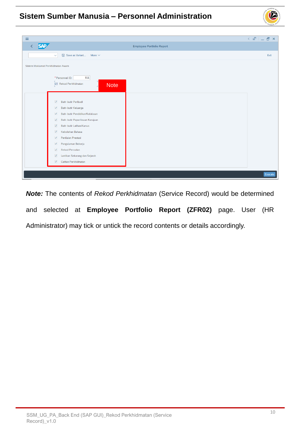

| $\equiv$                                                                                                                                                  | $\langle \circ \textbf{f} \circ \textbf{f} \circ \textbf{f} \circ \textbf{f} \circ \textbf{f} \circ \textbf{f} \circ \textbf{f} \circ \textbf{f} \circ \textbf{f} \circ \textbf{f} \circ \textbf{f} \circ \textbf{f} \circ \textbf{f} \circ \textbf{f} \circ \textbf{f} \circ \textbf{f} \circ \textbf{f} \circ \textbf{f} \circ \textbf{f} \circ \textbf{f} \circ \textbf{f} \circ \textbf{f} \circ \textbf{f} \circ \textbf{f} \circ \textbf{f} \circ \textbf{f} \circ \textbf{f} \circ$ |
|-----------------------------------------------------------------------------------------------------------------------------------------------------------|--------------------------------------------------------------------------------------------------------------------------------------------------------------------------------------------------------------------------------------------------------------------------------------------------------------------------------------------------------------------------------------------------------------------------------------------------------------------------------------------|
| <b>SAP</b><br>$\overline{\left( \right. }%$<br>Employee Portfolio Report                                                                                  |                                                                                                                                                                                                                                                                                                                                                                                                                                                                                            |
|                                                                                                                                                           |                                                                                                                                                                                                                                                                                                                                                                                                                                                                                            |
| $\Box$ Save as Variant More $\vee$<br>$\checkmark$                                                                                                        | Exit                                                                                                                                                                                                                                                                                                                                                                                                                                                                                       |
| Sistem Maklumat Perkhidmatan Awam                                                                                                                         |                                                                                                                                                                                                                                                                                                                                                                                                                                                                                            |
| * Personnel ID:<br>311<br>$\boxed{\text{a}}$ Rekod Perkhidmatan<br><b>Note</b>                                                                            |                                                                                                                                                                                                                                                                                                                                                                                                                                                                                            |
| Butir-butir Peribadi<br>$\overline{\mathsf{v}}$<br>Butir-butir Keluarga<br>$\triangledown$<br>Butir-butir Pendidikan/Kelulusan<br>$\overline{\mathsf{v}}$ |                                                                                                                                                                                                                                                                                                                                                                                                                                                                                            |
| $\overline{\mathsf{v}}$<br>Butir-butir Peperiksaan Kerajaan                                                                                               |                                                                                                                                                                                                                                                                                                                                                                                                                                                                                            |
| $\overline{\mathsf{v}}$<br>Butir-butir Latihan/Kursus                                                                                                     |                                                                                                                                                                                                                                                                                                                                                                                                                                                                                            |
| $\overline{\mathsf{v}}$<br>Kebolehan Bahasa                                                                                                               |                                                                                                                                                                                                                                                                                                                                                                                                                                                                                            |
| Penilaian Prestasi<br>$\overline{\mathsf{v}}$                                                                                                             |                                                                                                                                                                                                                                                                                                                                                                                                                                                                                            |
| $\overline{\mathsf{v}}$<br>Pengalaman Bekerja                                                                                                             |                                                                                                                                                                                                                                                                                                                                                                                                                                                                                            |
| <b>Rekod Percutian</b><br>$\overline{\mathsf{v}}$                                                                                                         |                                                                                                                                                                                                                                                                                                                                                                                                                                                                                            |
| $\overline{\mathsf{v}}$<br>Lantikan Sekarang dan Sejarah                                                                                                  |                                                                                                                                                                                                                                                                                                                                                                                                                                                                                            |
| $\overline{\mathsf{v}}$<br>Catitan Perkhidmatan                                                                                                           |                                                                                                                                                                                                                                                                                                                                                                                                                                                                                            |
|                                                                                                                                                           |                                                                                                                                                                                                                                                                                                                                                                                                                                                                                            |
|                                                                                                                                                           | Execute                                                                                                                                                                                                                                                                                                                                                                                                                                                                                    |

*Note:* The contents of *Rekod Perkhidmatan* (Service Record) would be determined and selected at **Employee Portfolio Report (ZFR02)** page. User (HR Administrator) may tick or untick the record contents or details accordingly.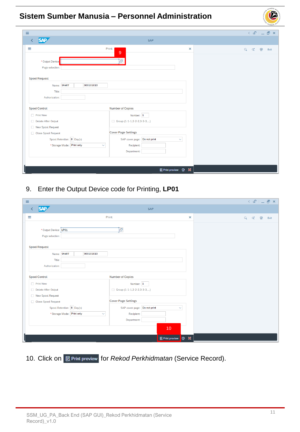| $\equiv$                                                                                                                                                                               |                                                                                                                                                                                          |          | $\leq$ $\mathbf{E}$ $\mathbf{E}$ $\mathbf{E}$ $\mathbf{E}$ |
|----------------------------------------------------------------------------------------------------------------------------------------------------------------------------------------|------------------------------------------------------------------------------------------------------------------------------------------------------------------------------------------|----------|------------------------------------------------------------|
| <b>SAP</b><br>K                                                                                                                                                                        | <b>SAP</b>                                                                                                                                                                               |          |                                                            |
| ≡<br>* Output Device:<br>Page selection:                                                                                                                                               | Print:<br>9<br>e                                                                                                                                                                         | $\times$ | $\overline{a}$<br>Q<br>$Q_t^*$<br>Exit                     |
| <b>Spool Request</b><br>000101010<br>Name: SMART<br>Title:<br>Authorization:                                                                                                           |                                                                                                                                                                                          |          |                                                            |
| <b>Spool Control</b><br><b>Print Now</b><br>Delete After Output<br>New Spool Request<br>Close Spool Request<br>Spool Retention: 8 Day(s)<br>* Storage Mode: Print only<br>$\checkmark$ | <b>Number of Copies</b><br>Number: 1<br>Group $(1-1-1, 2-2-2, 3-3-3,)$<br><b>Cover Page Settings</b><br>SAP cover page: Do not print<br>$\checkmark$<br><b>Recipient:</b><br>Department: |          |                                                            |
|                                                                                                                                                                                        | <b>昆Print preview 骨 ※</b>                                                                                                                                                                |          |                                                            |

9. Enter the Output Device code for Printing, **LP01**

| Ξ                                        |                                            |                              |                | $\langle \circ \textbf{r} \circ \textbf{r} \circ \textbf{r} \circ \textbf{r} \circ \textbf{r} \circ \textbf{r} \circ \textbf{r} \circ \textbf{r} \rangle$ |
|------------------------------------------|--------------------------------------------|------------------------------|----------------|-----------------------------------------------------------------------------------------------------------------------------------------------------------|
| <b>SAP</b><br>K                          |                                            | <b>SAP</b>                   |                |                                                                                                                                                           |
| Ξ                                        |                                            | Print:                       | $\pmb{\times}$ | 骨<br>$\alpha$<br>$\mathsf{Q}^\mathsf{t}$<br>Exit                                                                                                          |
| * Output Device: LP01<br>Page selection: |                                            | 9                            |                |                                                                                                                                                           |
| <b>Spool Request</b>                     |                                            |                              |                |                                                                                                                                                           |
| Name:                                    | 000101010<br><b>SMART</b>                  |                              |                |                                                                                                                                                           |
| Title:<br>Authorization:                 |                                            |                              |                |                                                                                                                                                           |
|                                          |                                            |                              |                |                                                                                                                                                           |
| <b>Spool Control</b>                     |                                            | <b>Number of Copies</b>      |                |                                                                                                                                                           |
| Print Now                                |                                            | Number: 1                    |                |                                                                                                                                                           |
| Delete After Output                      |                                            | Group (1-1-1,2-2-2,3-3-3,)   |                |                                                                                                                                                           |
| New Spool Request<br>Close Spool Request |                                            | <b>Cover Page Settings</b>   |                |                                                                                                                                                           |
|                                          | Spool Retention: 8 Day(s)                  | SAP cover page: Do not print | $\checkmark$   |                                                                                                                                                           |
|                                          | * Storage Mode: Print only<br>$\checkmark$ | Recipient:                   |                |                                                                                                                                                           |
|                                          |                                            | Department:                  |                |                                                                                                                                                           |
|                                          |                                            | 10                           |                |                                                                                                                                                           |
|                                          |                                            | <b>最 Print preview</b>       | 骨义             |                                                                                                                                                           |

10. Click on **Bella Print preview** for *Rekod Perkhidmatan* (Service Record).

02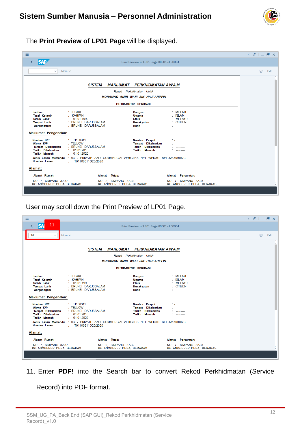

#### The **Print Preview of LP01 Page** will be displayed.

| $\equiv$                                                                                                             |                                                                                                                                                                                                                              | $\left\langle \begin{array}{c} \circ \\ \circ \\ \circ \end{array} \right  = \left\langle \begin{array}{c} \circ \\ \circ \\ \circ \end{array} \right  \times$ |
|----------------------------------------------------------------------------------------------------------------------|------------------------------------------------------------------------------------------------------------------------------------------------------------------------------------------------------------------------------|----------------------------------------------------------------------------------------------------------------------------------------------------------------|
| <b>SAP</b>                                                                                                           | Print Preview of LP01 Page 00001 of 00004                                                                                                                                                                                    |                                                                                                                                                                |
| $\checkmark$                                                                                                         | More $\vee$                                                                                                                                                                                                                  | 帚<br>Exit                                                                                                                                                      |
|                                                                                                                      | <b>SISTEM</b><br><b>MAKLUMAT PERKHIDMATAN AWAM</b><br>Rekod Perkhidmatan Untuk<br><b>MOHAMAD AMIR WAFI BIN HAJI ARIFFIN</b>                                                                                                  | $\sim$                                                                                                                                                         |
|                                                                                                                      | BUTIR-BUTIR PERIBADI                                                                                                                                                                                                         |                                                                                                                                                                |
| Jantina<br><b>Taraf Kelamin</b><br>Tarikh Lahir<br><b>Tempat Lahir</b><br>Warganegara<br><b>Maklumat Pengenalan:</b> | : LELAKI<br>: MELAYU<br><b>Bangsa</b><br>: KAHWIN<br>: ISLAM<br>Ugama<br>$\therefore$ 01 01 1990<br>: MFI AYU<br>Etnik<br>: BRUNEI DARUSSALAM<br>: CITIZEN<br>Kerakyatan<br>: BRUNEI DARUSSALAM<br>Rank<br>D-A               |                                                                                                                                                                |
| Nombor K/P<br>Warna K/P<br><b>Tempat Dikeluarkan</b><br>Tarikh Dikeluarkan<br><b>Tarikh Mansuh</b>                   | : 01100311<br>Nombor Paspot<br><b>Example 18 YELLOW</b><br>Tempat Dikeluarkan<br>: BRUNEI DARUSSALAM<br>Tarikh Dikeluarkan<br><b>Angele James</b><br>1.01.2016<br>Tarikh Mansuh<br><b>And and Commercial</b><br>: 01.01.2026 |                                                                                                                                                                |
| Nombor Lesen                                                                                                         | Jenis Lesen Memandu : 03 - PRIVATE AND COMMERCIAL VEHICLES NET WEIGHT BELOW 3000KG<br>-11<br>T01100311G20/2020                                                                                                               |                                                                                                                                                                |
| Alamat:                                                                                                              |                                                                                                                                                                                                                              |                                                                                                                                                                |
| Alamat Rumah:                                                                                                        | Alamat Tetap:<br>Alamat Persuratan:                                                                                                                                                                                          |                                                                                                                                                                |
| NO. 7. SIMPANG 32-37<br>KG ANGGEREK DESA, BERAKAS                                                                    | NO. 7, SIMPANG 32-37<br>NO. 2, SIMPANG 37-32<br>KG ANGGEREK DESA, BERAKAS<br>KG ANGGEREK DESA, BERAKAS                                                                                                                       |                                                                                                                                                                |

#### User may scroll down the Print Preview of LP01 Page.

| Ξ                                                                                                                          |                                                                                                                                                                                                                    | $x - a$   |
|----------------------------------------------------------------------------------------------------------------------------|--------------------------------------------------------------------------------------------------------------------------------------------------------------------------------------------------------------------|-----------|
| 11                                                                                                                         | Print Preview of LP01 Page 00001 of 00004                                                                                                                                                                          |           |
| PDF!<br>More $\vee$                                                                                                        |                                                                                                                                                                                                                    | 骨<br>Exit |
|                                                                                                                            | <b>SISTEM</b><br><b>MAKLUMAT PERKHIDMATAN AWAM</b><br>Rekod Perkhidmatan Untuk                                                                                                                                     | w         |
|                                                                                                                            | <b>MOHAMAD AMIR WAFI BIN HAJI ARIFFIN</b>                                                                                                                                                                          |           |
|                                                                                                                            | <b>BUTIR-BUTIR PERIBADI</b>                                                                                                                                                                                        |           |
| Jantina<br><b>Taraf Kelamin</b><br><b>Tarikh Lahir</b><br><b>Tempat Lahir</b><br>Warganegara                               | : LELAKI<br>: MELAYU<br><b>Bangsa</b><br><b>KAHWIN</b><br>: ISLAM<br>Ugama<br>: MELAYU<br>: 01.01.1990<br>Etnik<br>: BRUNEI DARUSSALAM<br>: CITIZEN<br>Kerakvatan<br>: BRUNEI DARUSSALAM<br>Rank<br>t a            |           |
| Maklumat Pengenalan:<br>Nombor K/P<br>Warna K/P<br><b>Tempat Dikeluarkan</b><br>Tarikh Dikeluarkan<br><b>Tarikh Mansuh</b> | $\therefore$ 01100311<br>Nombor Paspot<br>: YELLOW<br>Tempat Dikeluarkan<br>: BRUNEI DARUSSALAM<br>Tarikh Dikeluarkan<br>مستعرضه ومنارضه<br>: 01.01.2016<br>Tarikh Mansuh<br><b>And And America</b><br>101.01.2026 |           |
| Nombor Lesen                                                                                                               | Jenis Lesen Memandu : 03 - PRIVATE AND COMMERCIAL VEHICLES NET WEIGHT BELOW 3000KG<br><b>Controller</b><br>T01100311G20/2020                                                                                       |           |
| Alamat:                                                                                                                    |                                                                                                                                                                                                                    |           |
| Alamat Rumah:                                                                                                              | Alamat Tetap:<br>Alamat Persuratan:                                                                                                                                                                                |           |
| NO. 7. SIMPANG 32-37<br>KG ANGGEREK DESA. BERAKAS                                                                          | NO. 2. SIMPANG 37-32<br>NO. 7, SIMPANG 32-37<br>KG ANGGEREK DESA, BERAKAS<br>KG ANGGEREK DESA, BERAKAS                                                                                                             |           |

11. Enter **PDF!** into the Search bar to convert Rekod Perkhidmatan (Service

Record) into PDF format.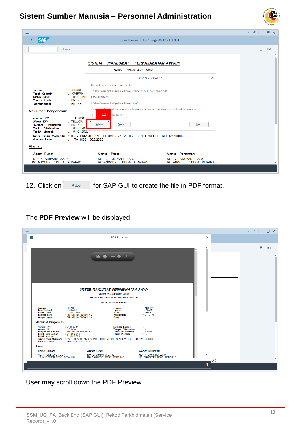| $\equiv$                                                                                                                                                                                       |                                                                                                                                                                            |                                                   | $\times$ $F_{1}$ $ F_{2}$ $\times$ |
|------------------------------------------------------------------------------------------------------------------------------------------------------------------------------------------------|----------------------------------------------------------------------------------------------------------------------------------------------------------------------------|---------------------------------------------------|------------------------------------|
| <b>SAP</b>                                                                                                                                                                                     | Print Preview of LP01 Page 00001 of 00004                                                                                                                                  |                                                   |                                    |
| More $\vee$<br>$\checkmark$                                                                                                                                                                    |                                                                                                                                                                            |                                                   | 帚<br>Exit                          |
|                                                                                                                                                                                                | <b>SISTEM</b><br><b>MAKLUMAT PERKHIDMATAN AWAM</b>                                                                                                                         |                                                   |                                    |
|                                                                                                                                                                                                | Rekod Perkhidmatan Untuk<br><b>SAP GUI Security</b>                                                                                                                        | $\times$                                          |                                    |
| : LELAKI<br><b>Jantina</b><br><b>KAHWIN</b><br><b>Taraf Kelamin</b><br>01.01.19<br>Tarikh Lahir<br>: BRUNEI<br><b>Tempat Lahir</b><br>: BRUNEI<br>Warganegara                                  | The system is trying to create the file<br>C:\Users\amir.ariffin\AppData\Local\Temp\a219660 5616smart.pdf<br>in the directory<br>C:\Users\amir.ariffin\AppData\Local\Temp\ |                                                   |                                    |
| <b>Maklumat Pengenalan:</b><br>0110031<br>Nombor K/P<br>Warna K/P<br>: YELLOW<br>: BRUNEI<br><b>Tempat Dikeluarkan</b><br>01.01.20<br>Tarikh Dikeluarkan<br>01.01.2026<br><b>Tarikh Mansuh</b> | Do you want to grant the permission to modify the parent directory and all its subdirectories?<br>12<br>Decision<br>$\Box$ R<br><b>Allow</b><br>Deny                       | Help                                              |                                    |
| Nombor Lesen<br>÷<br>Alamat:                                                                                                                                                                   | Jenis Lesen Memandu : 03 - PRIVATE AND COMMERCIAL VEHICLES NET WEIGHT BELOW 3000KG<br>T01100311G20/2020                                                                    |                                                   |                                    |
| Alamat Rumah:                                                                                                                                                                                  | Alamat Tetap:                                                                                                                                                              | Alamat Persuratan:                                |                                    |
| NO. 7. SIMPANG 32-37<br>KG ANGGEREK DESA, BERAKAS                                                                                                                                              | NO. 2, SIMPANG 37-32<br>KG ANGGEREK DESA. BERAKAS                                                                                                                          | NO. 7, SIMPANG 32-37<br>KG ANGGEREK DESA, BERAKAS |                                    |

12. Click on **Allow** for SAP GUI to create the file in PDF format.

#### The **PDF Preview** will be displayed.

| ≡ |                                                                                                                                                                                                                                                                                                                                                                                                                                                   |                                         | $\langle$ and $\Box$ and $\mathbb{R}$ |
|---|---------------------------------------------------------------------------------------------------------------------------------------------------------------------------------------------------------------------------------------------------------------------------------------------------------------------------------------------------------------------------------------------------------------------------------------------------|-----------------------------------------|---------------------------------------|
|   | $\equiv$<br><b>PDF Preview</b>                                                                                                                                                                                                                                                                                                                                                                                                                    | $\times$                                |                                       |
|   |                                                                                                                                                                                                                                                                                                                                                                                                                                                   | $\hat{\phantom{a}}$<br>$\checkmark$     | 帚<br>Exit                             |
|   | 뽑층   - 十   人                                                                                                                                                                                                                                                                                                                                                                                                                                      |                                         |                                       |
|   | SISTEM MAKLUMAT PERKHIDMATAN AWAM                                                                                                                                                                                                                                                                                                                                                                                                                 |                                         |                                       |
|   | <b>Rekod Perkhidmatan Untuk</b><br><b>MOHAMAD AMIR WAFI BIN HAJI ARIFFIN</b>                                                                                                                                                                                                                                                                                                                                                                      |                                         |                                       |
|   | BUTIR-BUTIR PERIBADI                                                                                                                                                                                                                                                                                                                                                                                                                              |                                         |                                       |
|   | : LELAKI<br><b>MELAYU</b><br><b>Jantina</b><br>Bangsa<br>Taraf Kelamin<br>: KAHWIN<br><b>ISLAM</b><br>Ugama<br>Etnik<br><b>MELAYU</b><br><b>Tarikh Lahir</b><br>: 01.01.1990<br><b>Tempat Lahir</b><br>BRUNEI DARUSSALAM<br>BRUNEI DARUSSALAM<br><b>CITIZEN</b><br>Kerakvatan<br>Warganegara<br>Rank<br>o a                                                                                                                                       |                                         |                                       |
|   | Maklumat Pengenalan:                                                                                                                                                                                                                                                                                                                                                                                                                              |                                         |                                       |
|   | : 01100311<br>Nombor K/P<br><b>Nombor Paspot</b><br>Warna K/P<br><b>Tempat Dikeluarkan</b><br>: YELLOW<br>: BRUNEI DARUSSALAM<br><b>Tarikh Dikeluarkan</b><br><b>Tempat Dikeluarkan</b><br>سيبيد<br><b>Tarikh Dikeluarkan</b><br>: 01.01.2016<br><b>Tarikh Mansuh</b><br><b>Tarikh Mansuh</b><br>: 01.01.2026<br>Jenis Lesen Memandu : 03 - PRIVATE AND COMMERCIAL VEHICLES NET WEIGHT BELOW 3000KG<br>: T01100311G20/2020<br><b>Nombor Lesen</b> |                                         |                                       |
|   | Alamat:                                                                                                                                                                                                                                                                                                                                                                                                                                           |                                         |                                       |
|   | <b>Alamat Rumah:</b><br><b>Alamat Tetap:</b><br><b>Alamat Persuratan:</b><br>NO. 7, SIMPANG 32-37<br>KG ANGGEREK DESA. BERAKAS<br>NO. 2, SIMPANG 37-32<br>KG ANGGEREK DESA. BERAKAS<br>NO. 7, SIMPANG 32-37<br>KG ANGGEREK DESA. BERAKAS                                                                                                                                                                                                          | $\blacktriangle$<br>$\checkmark$        |                                       |
|   |                                                                                                                                                                                                                                                                                                                                                                                                                                                   | <b>KAS</b><br>$\boldsymbol{\mathsf{x}}$ |                                       |

User may scroll down the PDF Preview.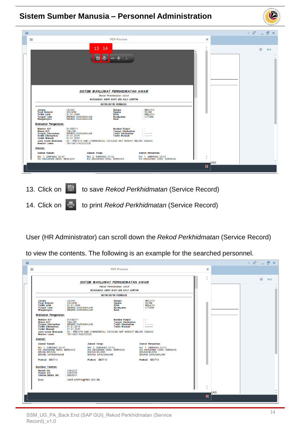| SUMBER<br>ч,<br>÷<br>مارچ<br>ح<br>sts . sisk<br>Š<br>×<br>MBER |
|----------------------------------------------------------------|
|                                                                |

| $\equiv$                                                                                                  |                                                                                                           | <b>PDF Preview</b>                                                                                     |                                                                         |                                     |     |           |
|-----------------------------------------------------------------------------------------------------------|-----------------------------------------------------------------------------------------------------------|--------------------------------------------------------------------------------------------------------|-------------------------------------------------------------------------|-------------------------------------|-----|-----------|
|                                                                                                           |                                                                                                           |                                                                                                        |                                                                         | ×                                   |     |           |
|                                                                                                           | 13<br>14                                                                                                  |                                                                                                        |                                                                         | $\hat{\phantom{a}}$<br>$\checkmark$ |     | 帚<br>Exit |
|                                                                                                           |                                                                                                           |                                                                                                        |                                                                         |                                     |     |           |
|                                                                                                           | $\blacksquare$<br>H                                                                                       |                                                                                                        |                                                                         |                                     |     |           |
|                                                                                                           |                                                                                                           |                                                                                                        |                                                                         |                                     |     |           |
|                                                                                                           |                                                                                                           |                                                                                                        |                                                                         |                                     |     |           |
|                                                                                                           |                                                                                                           |                                                                                                        |                                                                         |                                     |     |           |
|                                                                                                           |                                                                                                           |                                                                                                        |                                                                         |                                     |     |           |
|                                                                                                           | SISTEM MAKLUMAT PERKHIDMATAN AWAM                                                                         |                                                                                                        |                                                                         |                                     |     |           |
|                                                                                                           |                                                                                                           | Rekod Perkhidmatan Untuk<br><b>MOHAMAD AMIR WAFI BIN HAJI ARIFFIN</b>                                  |                                                                         |                                     |     |           |
|                                                                                                           |                                                                                                           | <b>BUTIR-BUTIR PERIBADI</b>                                                                            |                                                                         |                                     |     |           |
| <b>Jantina</b><br><b>Taraf Kelamin</b><br><b>Tarikh Lahir</b><br><b>Tempat Lahir</b><br>Warganegara       | : LELAKI<br><b>KAHWIN</b><br>: 01.01.1990<br><b>BRUNEI DARUSSALAM</b><br><b>BRUNEI DARUSSALAM</b>         | Bangsa<br>Ugama<br>Etnik<br>Kerakyatan<br>Rank                                                         | <b>MELAYU</b><br><b>ISLAM</b><br><b>MELAYU</b><br><b>CITIZEN</b><br>be. |                                     |     |           |
| Maklumat Pengenalan:                                                                                      |                                                                                                           |                                                                                                        |                                                                         |                                     |     |           |
| Nombor K/P<br>Warna K/P<br><b>Tempat Dikeluarkan</b><br><b>Tarikh Dikeluarkan</b><br><b>Tarikh Mansuh</b> | : 01100311<br>: YELLOW<br>: BRUNEI DARUSSALAM<br>: 01.01.2016<br>: 01.01.2026                             | <b>Nombor Paspot</b><br><b>Tempat Dikeluarkan</b><br><b>Tarikh Dikeluarkan</b><br><b>Tarikh Mansuh</b> | $\sim$<br>مسترسرت<br><b>Service State</b>                               |                                     |     |           |
| <b>Nombor Lesen</b>                                                                                       | Jenis Lesen Memandu : 03 - PRIVATE AND COMMERCIAL VEHICLES NET WEIGHT BELOW 3000KG<br>: T01100311G20/2020 |                                                                                                        |                                                                         |                                     |     |           |
| Alamat:                                                                                                   |                                                                                                           |                                                                                                        |                                                                         |                                     |     |           |
| <b>Alamat Rumah:</b>                                                                                      | <b>Alamat Tetap:</b>                                                                                      |                                                                                                        | <b>Alamat Persuratan:</b>                                               |                                     |     |           |
| NO. 7. SIMPANG 32-37<br>KG ANGGEREK DESA. BERAKAS                                                         | NO. 2, SIMPANG 37-32<br>KG ANGGEREK DESA. BERAKAS                                                         |                                                                                                        | NO. 7. SIMPANG 32-37<br>KG ANGGEREK DESA. BERAKAS                       | $\blacktriangle$<br>$\checkmark$    |     |           |
|                                                                                                           |                                                                                                           |                                                                                                        |                                                                         | $\boldsymbol{\mathsf{x}}$           | KAS |           |
|                                                                                                           |                                                                                                           |                                                                                                        |                                                                         |                                     |     |           |

13. Click on **the same** *Rekod Perkhidmatan* (Service Record)

14. Click on **the to print** *Rekod Perkhidmatan* (Service Record)

User (HR Administrator) can scroll down the *Rekod Perkhidmatan* (Service Record)

to view the contents. The following is an example for the searched personnel.

| ≡                                                                                                                                                                                                                                                                                                                                                                                                                                                                             |                                    | $\langle$ $\mathbb{C}$ $ $ $\mathbb{C}$ $\mathbb{C}$ $\times$ |
|-------------------------------------------------------------------------------------------------------------------------------------------------------------------------------------------------------------------------------------------------------------------------------------------------------------------------------------------------------------------------------------------------------------------------------------------------------------------------------|------------------------------------|---------------------------------------------------------------|
| $\equiv$<br><b>PDF Preview</b>                                                                                                                                                                                                                                                                                                                                                                                                                                                | $\times$                           |                                                               |
| SISTEM MAKLUMAT PERKHIDMATAN AWAM<br><b>Rekod Perkhidmatan Untuk</b><br><b>MOHAMAD AMIR WAFI BIN HAJI ARIFFIN</b><br><b>BUTIR-BUTIR PERIBADI</b>                                                                                                                                                                                                                                                                                                                              | $\hat{\phantom{a}}$<br>$\ddotmark$ | 帚<br>Exit                                                     |
| : MELAYU<br>Jantina<br>: LELAKI<br>Bangsa<br><b>Taraf Kelamin</b><br><b>KAHWIN</b><br><b>ISLAM</b><br>Ugama<br><b>MELAYU</b><br><b>Tarikh Lahir</b><br><b>Etnik</b><br>01.01.1990<br><b>Tempat Lahir</b><br>: BRUNEI DARUSSALAM<br>Kerakyatan<br>: CITIZEN<br>: BRUNEI DARUSSALAM<br>Warganegara<br>Rank<br><b>COL</b>                                                                                                                                                        |                                    |                                                               |
| Maklumat Pengenalan:                                                                                                                                                                                                                                                                                                                                                                                                                                                          |                                    |                                                               |
| Nombor K/P<br>: 01100311<br><b>Nombor Paspot</b><br>Warna K/P<br>: YELLOW<br><b>Tempat Dikeluarkan</b><br><b>Tempat Dikeluarkan</b><br>: BRUNEI DARUSSALAM<br><b>Tarikh Dikeluarkan</b><br><b>Service</b><br><b>Tarikh Dikeluarkan</b><br>: 01.01.2016<br><b>Tarikh Mansuh</b><br><b>Service</b> Service<br><b>Tarikh Mansuh</b><br>: 01.01.2026<br>Jenis Lesen Memandu : 03 - PRIVATE AND COMMERCIAL VEHICLES NET WEIGHT BELOW 3000KG<br>: T01100311G20/2020<br>Nombor Lesen |                                    |                                                               |
| Alamat:                                                                                                                                                                                                                                                                                                                                                                                                                                                                       |                                    |                                                               |
| <b>Alamat Rumah:</b><br><b>Alamat Tetap:</b><br><b>Alamat Persuratan:</b>                                                                                                                                                                                                                                                                                                                                                                                                     |                                    |                                                               |
| NO. 7, SIMPANG 32-37<br>NO. 2, SIMPANG 37-32<br>KG ANGGEREK DESA, BERAKAS<br>NO. 7, SIMPANG 32-37<br>KG ANGGEREK DESA. BERAKAS<br>KG ANGGEREK DESA. BERAKAS<br>BRUNEI-MUARA<br><b>BRUNEI-MUARA</b><br><b>BRUNEI-MUARA</b><br><b>BRUNEI DARUSSALAM</b><br><b>BRUNEI DARUSSALAM</b><br><b>BRUNEI DARUSSALAM</b>                                                                                                                                                                 |                                    |                                                               |
| Poskod: BB3713<br>Poskod: BB3713<br>Poskod: BB3713                                                                                                                                                                                                                                                                                                                                                                                                                            |                                    |                                                               |
| Nombor Telefon:                                                                                                                                                                                                                                                                                                                                                                                                                                                               |                                    |                                                               |
| : 2382227<br>Rumah (H)<br>: 2382238<br>Pejabat (O)<br><b>Telefon Bimbit (M)</b><br>: 8000311                                                                                                                                                                                                                                                                                                                                                                                  |                                    |                                                               |
| : AMIR.ARIFFIN@PMO.GOV.BN<br>Emel                                                                                                                                                                                                                                                                                                                                                                                                                                             |                                    |                                                               |
|                                                                                                                                                                                                                                                                                                                                                                                                                                                                               | $\hat{\phantom{a}}$                |                                                               |
|                                                                                                                                                                                                                                                                                                                                                                                                                                                                               | $\ddot{\phantom{1}}$<br><b>KAS</b> |                                                               |
|                                                                                                                                                                                                                                                                                                                                                                                                                                                                               | $\boldsymbol{\mathsf{x}}$          |                                                               |
|                                                                                                                                                                                                                                                                                                                                                                                                                                                                               |                                    |                                                               |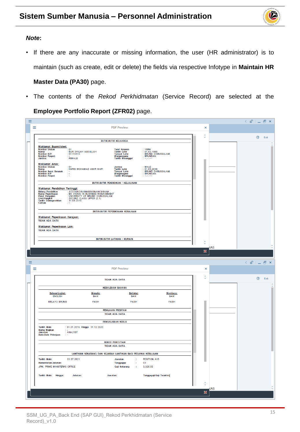

#### *Note***:**

• If there are any inaccurate or missing information, the user (HR administrator) is to maintain (such as create, edit or delete) the fields via respective Infotype in **Maintain HR**

#### **Master Data (PA30)** page.

• The contents of the *Rekod Perkhidmatan* (Service Record) are selected at the

**Employee Portfolio Report (ZFR02)** page.

|          |   |                                                                                                                                               |                                                        |                                                                                  |                                                            |                           |           | K.<br>⊡்<br>$\Box$ $\times$                |
|----------|---|-----------------------------------------------------------------------------------------------------------------------------------------------|--------------------------------------------------------|----------------------------------------------------------------------------------|------------------------------------------------------------|---------------------------|-----------|--------------------------------------------|
|          | Ξ |                                                                                                                                               |                                                        | <b>PDF Preview</b>                                                               |                                                            | $\times$                  |           |                                            |
|          |   |                                                                                                                                               |                                                        |                                                                                  |                                                            | Ć                         |           | €<br>Exit                                  |
|          |   |                                                                                                                                               |                                                        | BUTIR-BUTIR KELUARGA                                                             |                                                            |                           |           |                                            |
|          |   | Maklumat Suami/Isteri:<br><b>Nombor Urutan</b><br>Nama:<br>Nombor K/P:<br>Nombor Paspot:<br>Jantina:                                          | 01<br>NUR SYIQAH ABDULLAH<br>01113113<br><b>FEMALE</b> | Taraf Kelamin<br>Tarikh Lahir<br>Tempat Lahir<br>Warganegara<br>Tarikh Meninggal | VERH<br>01.02.1990<br>BRUNEL DARUSSALAM<br><b>BRUNEIAN</b> |                           |           |                                            |
|          |   | <b>Maklumat Anak:</b><br><b>Nombor Urutan</b><br><b>Nama</b><br>Nombor Surat Beranak<br>Nombor K/P<br>Nombor Paspot                           | 01<br>HARIS MOHAMAD AMIR WAFI                          | Jantina<br>Tarikh Lahir<br>Tempat Lahir<br>Warganegara<br>Tarikh Meninggal       | MALE<br>01.03.2018<br>BRUNEI DARUSSALAM<br>BRUNEIAN        |                           |           |                                            |
|          |   |                                                                                                                                               |                                                        | BUTIR-BUTIR PENDIDIKAN / KELULUSAN                                               |                                                            |                           |           |                                            |
|          |   | Maklumat Pendidikan Tertinggi:<br>Bidang Pendidikan<br>Nama Peperiksaan<br>Pusat Pengajian<br>Gred/Pangkat<br>Tarikh Dianugerahkan<br>Catitan |                                                        |                                                                                  |                                                            |                           |           |                                            |
|          |   |                                                                                                                                               |                                                        | BUTIR-BUTIR PEPERIKSAAN KERAJAAN                                                 |                                                            |                           |           |                                            |
|          |   | Maklumat Peperiksaan Kerajaan:<br><b>TIDAK ADA DATA</b>                                                                                       |                                                        |                                                                                  |                                                            |                           |           |                                            |
|          |   | Maklumat Peperiksaan Lain:<br><b>TIDAK ADA DATA</b>                                                                                           |                                                        |                                                                                  |                                                            |                           |           |                                            |
|          |   |                                                                                                                                               |                                                        | <b>BUTIR-BUTIR LATIHAN / KURSUS</b>                                              |                                                            |                           |           |                                            |
|          |   |                                                                                                                                               |                                                        |                                                                                  |                                                            | Ĉ                         |           |                                            |
|          |   |                                                                                                                                               |                                                        |                                                                                  |                                                            |                           | ΆS        |                                            |
|          |   |                                                                                                                                               |                                                        |                                                                                  |                                                            | $\boldsymbol{\mathsf{X}}$ |           |                                            |
|          |   |                                                                                                                                               |                                                        |                                                                                  |                                                            |                           |           |                                            |
| $\equiv$ |   |                                                                                                                                               |                                                        |                                                                                  |                                                            |                           |           | $\langle$ of $ $ $\bot$ $\exists$ $\times$ |
|          | ≡ |                                                                                                                                               |                                                        | <b>PDF Preview</b>                                                               |                                                            | $\times$                  |           |                                            |
|          |   |                                                                                                                                               |                                                        | <b>TIDAK ADA DATA</b>                                                            |                                                            | Ć                         |           | e<br>Exit                                  |
|          |   |                                                                                                                                               |                                                        | <b>KEBOLEHAN BAHASA</b>                                                          |                                                            |                           |           |                                            |
|          |   | Bahasa/Loghat:<br><b>ENGLISH</b>                                                                                                              | <b>Menulis:</b><br>BAIK                                | Bertutur:<br><b>BAIK</b>                                                         | Membaca:<br><b>BAIK</b>                                    |                           |           |                                            |
|          |   | <b>MELAYU BRUNEI</b>                                                                                                                          | <b>FASIH</b>                                           | <b>FASIH</b>                                                                     | <b>FASIH</b>                                               |                           |           |                                            |
|          |   |                                                                                                                                               |                                                        | <b>PENILAIAN PRESTASI</b>                                                        |                                                            |                           |           |                                            |
|          |   |                                                                                                                                               |                                                        | <b>TIDAK ADA DATA</b>                                                            |                                                            |                           |           |                                            |
|          |   |                                                                                                                                               |                                                        | PENGALAMAN KERJA                                                                 |                                                            |                           |           |                                            |
|          |   | <b>Tarikh Mula</b><br>Nama Majikan<br>Jawatan I<br><b>Butir-Butir Pekerjaan</b>                                                               | : 01.01.2016 Hingga 31.12.2020<br><b>ANALYST</b>       |                                                                                  |                                                            |                           |           |                                            |
|          |   |                                                                                                                                               |                                                        | <b>REKOD PERCUTIAN</b><br><b>TIDAK ADA DATA</b>                                  |                                                            |                           |           |                                            |
|          |   |                                                                                                                                               |                                                        | LANTIKAN SEKARANG DAN SEJARAH LANTIKAN BAGI PEGAWAI KERAJAAN                     |                                                            |                           |           |                                            |
|          |   |                                                                                                                                               | 01.07.2021                                             | ÷                                                                                | POSITION A15                                               |                           |           |                                            |
|          |   | <b>Tarikh Mula:</b><br>Kementerian/Jabatan:                                                                                                   |                                                        | <b>Jawatan</b><br>Tanggagaji<br>÷                                                | C <sub>5</sub>                                             |                           |           |                                            |
|          |   | JPM, PRIME MINISTER#S OFFICE                                                                                                                  |                                                        | Gaji Sekarang<br>÷                                                               | 3,320.00                                                   |                           |           |                                            |
|          |   | Tarikh Mula: Hingga:                                                                                                                          | Jabatan:                                               | Jawatan:                                                                         | Tanggagaji/Gaji Terakhir:                                  |                           |           |                                            |
|          |   |                                                                                                                                               |                                                        |                                                                                  |                                                            | Ô                         |           |                                            |
|          |   |                                                                                                                                               |                                                        |                                                                                  |                                                            |                           | <b>AS</b> |                                            |
|          |   |                                                                                                                                               |                                                        |                                                                                  |                                                            | $\pmb{\mathbb{X}}$        |           |                                            |
|          |   |                                                                                                                                               |                                                        |                                                                                  |                                                            |                           |           |                                            |